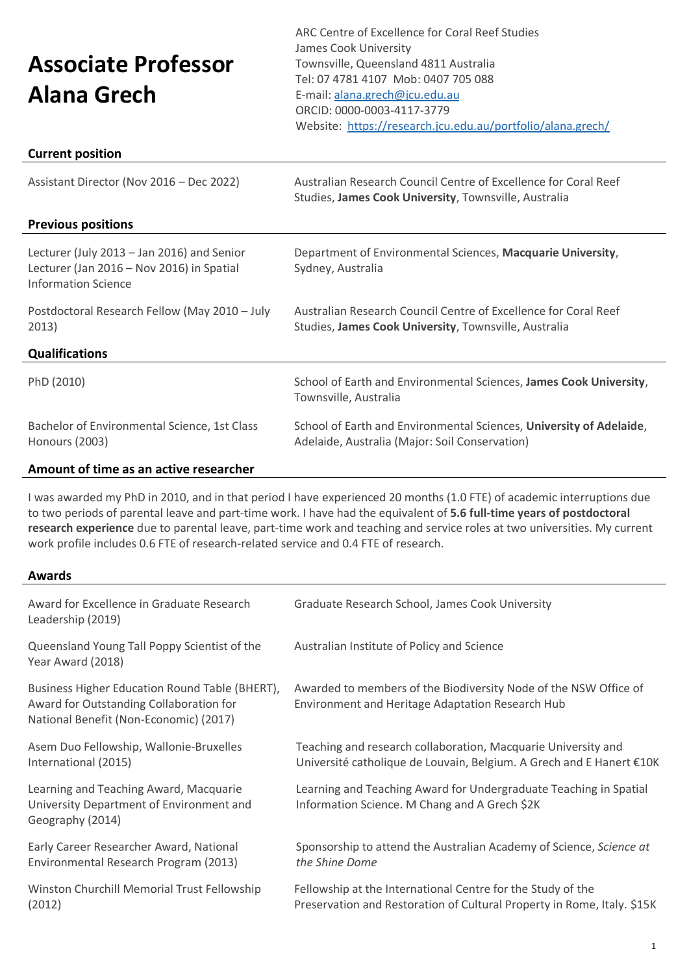# **Associate Professor Alana Grech**

ARC Centre of Excellence for Coral Reef Studies James Cook University Townsville, Queensland 4811 Australia Tel: 07 4781 4107 Mob: 0407 705 088 E-mail[: alana.grech@jcu.edu.au](mailto:alana.grech@jcu.edu.au) ORCID: 0000-0003-4117-3779 Website:<https://research.jcu.edu.au/portfolio/alana.grech/>

# **Current position**

| Assistant Director (Nov 2016 - Dec 2022)                                                                              | Australian Research Council Centre of Excellence for Coral Reef<br>Studies, James Cook University, Townsville, Australia |
|-----------------------------------------------------------------------------------------------------------------------|--------------------------------------------------------------------------------------------------------------------------|
| <b>Previous positions</b>                                                                                             |                                                                                                                          |
| Lecturer (July 2013 - Jan 2016) and Senior<br>Lecturer (Jan 2016 - Nov 2016) in Spatial<br><b>Information Science</b> | Department of Environmental Sciences, Macquarie University,<br>Sydney, Australia                                         |
| Postdoctoral Research Fellow (May 2010 - July<br>2013)                                                                | Australian Research Council Centre of Excellence for Coral Reef<br>Studies, James Cook University, Townsville, Australia |
| <b>Qualifications</b>                                                                                                 |                                                                                                                          |
| PhD (2010)                                                                                                            | School of Earth and Environmental Sciences, James Cook University,<br>Townsville, Australia                              |
| Bachelor of Environmental Science, 1st Class<br>Honours (2003)                                                        | School of Earth and Environmental Sciences, University of Adelaide,<br>Adelaide, Australia (Major: Soil Conservation)    |
| Amount of time as an active researcher                                                                                |                                                                                                                          |

I was awarded my PhD in 2010, and in that period I have experienced 20 months (1.0 FTE) of academic interruptions due to two periods of parental leave and part-time work. I have had the equivalent of **5.6 full-time years of postdoctoral research experience** due to parental leave, part-time work and teaching and service roles at two universities. My current work profile includes 0.6 FTE of research-related service and 0.4 FTE of research.

#### **Awards**

| Award for Excellence in Graduate Research<br>Leadership (2019)                                                                      | Graduate Research School, James Cook University                                                                                        |
|-------------------------------------------------------------------------------------------------------------------------------------|----------------------------------------------------------------------------------------------------------------------------------------|
| Queensland Young Tall Poppy Scientist of the<br>Year Award (2018)                                                                   | Australian Institute of Policy and Science                                                                                             |
| Business Higher Education Round Table (BHERT),<br>Award for Outstanding Collaboration for<br>National Benefit (Non-Economic) (2017) | Awarded to members of the Biodiversity Node of the NSW Office of<br>Environment and Heritage Adaptation Research Hub                   |
| Asem Duo Fellowship, Wallonie-Bruxelles<br>International (2015)                                                                     | Teaching and research collaboration, Macquarie University and<br>Université catholique de Louvain, Belgium. A Grech and E Hanert €10K  |
| Learning and Teaching Award, Macquarie<br>University Department of Environment and<br>Geography (2014)                              | Learning and Teaching Award for Undergraduate Teaching in Spatial<br>Information Science. M Chang and A Grech \$2K                     |
| Early Career Researcher Award, National<br>Environmental Research Program (2013)                                                    | Sponsorship to attend the Australian Academy of Science, Science at<br>the Shine Dome                                                  |
| Winston Churchill Memorial Trust Fellowship<br>(2012)                                                                               | Fellowship at the International Centre for the Study of the<br>Preservation and Restoration of Cultural Property in Rome, Italy. \$15K |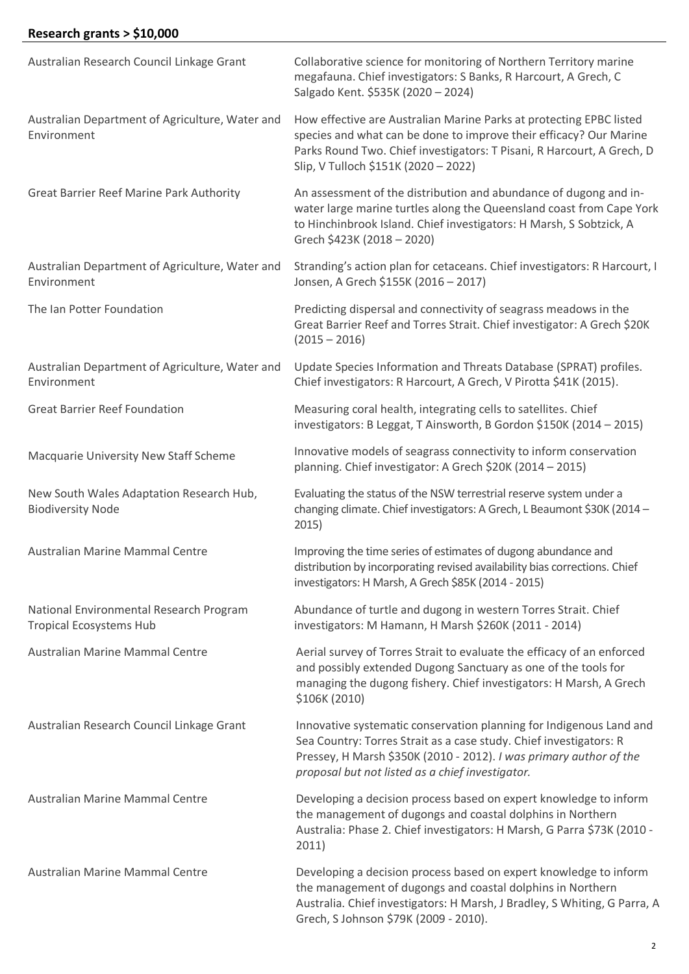# **Research grants > \$10,000**

| Australian Research Council Linkage Grant                                 | Collaborative science for monitoring of Northern Territory marine<br>megafauna. Chief investigators: S Banks, R Harcourt, A Grech, C<br>Salgado Kent. \$535K (2020 - 2024)                                                                                          |
|---------------------------------------------------------------------------|---------------------------------------------------------------------------------------------------------------------------------------------------------------------------------------------------------------------------------------------------------------------|
| Australian Department of Agriculture, Water and<br>Environment            | How effective are Australian Marine Parks at protecting EPBC listed<br>species and what can be done to improve their efficacy? Our Marine<br>Parks Round Two. Chief investigators: T Pisani, R Harcourt, A Grech, D<br>Slip, V Tulloch \$151K (2020 - 2022)         |
| <b>Great Barrier Reef Marine Park Authority</b>                           | An assessment of the distribution and abundance of dugong and in-<br>water large marine turtles along the Queensland coast from Cape York<br>to Hinchinbrook Island. Chief investigators: H Marsh, S Sobtzick, A<br>Grech \$423K (2018 - 2020)                      |
| Australian Department of Agriculture, Water and<br>Environment            | Stranding's action plan for cetaceans. Chief investigators: R Harcourt, I<br>Jonsen, A Grech \$155K (2016 - 2017)                                                                                                                                                   |
| The Ian Potter Foundation                                                 | Predicting dispersal and connectivity of seagrass meadows in the<br>Great Barrier Reef and Torres Strait. Chief investigator: A Grech \$20K<br>$(2015 - 2016)$                                                                                                      |
| Australian Department of Agriculture, Water and<br>Environment            | Update Species Information and Threats Database (SPRAT) profiles.<br>Chief investigators: R Harcourt, A Grech, V Pirotta \$41K (2015).                                                                                                                              |
| <b>Great Barrier Reef Foundation</b>                                      | Measuring coral health, integrating cells to satellites. Chief<br>investigators: B Leggat, T Ainsworth, B Gordon \$150K (2014 - 2015)                                                                                                                               |
| Macquarie University New Staff Scheme                                     | Innovative models of seagrass connectivity to inform conservation<br>planning. Chief investigator: A Grech \$20K (2014 - 2015)                                                                                                                                      |
| New South Wales Adaptation Research Hub,<br><b>Biodiversity Node</b>      | Evaluating the status of the NSW terrestrial reserve system under a<br>changing climate. Chief investigators: A Grech, L Beaumont \$30K (2014 -<br>2015)                                                                                                            |
| Australian Marine Mammal Centre                                           | Improving the time series of estimates of dugong abundance and<br>distribution by incorporating revised availability bias corrections. Chief<br>investigators: H Marsh, A Grech \$85K (2014 - 2015)                                                                 |
| National Environmental Research Program<br><b>Tropical Ecosystems Hub</b> | Abundance of turtle and dugong in western Torres Strait. Chief<br>investigators: M Hamann, H Marsh \$260K (2011 - 2014)                                                                                                                                             |
| Australian Marine Mammal Centre                                           | Aerial survey of Torres Strait to evaluate the efficacy of an enforced<br>and possibly extended Dugong Sanctuary as one of the tools for<br>managing the dugong fishery. Chief investigators: H Marsh, A Grech<br>\$106K (2010)                                     |
| Australian Research Council Linkage Grant                                 | Innovative systematic conservation planning for Indigenous Land and<br>Sea Country: Torres Strait as a case study. Chief investigators: R<br>Pressey, H Marsh \$350K (2010 - 2012). I was primary author of the<br>proposal but not listed as a chief investigator. |
| Australian Marine Mammal Centre                                           | Developing a decision process based on expert knowledge to inform<br>the management of dugongs and coastal dolphins in Northern<br>Australia: Phase 2. Chief investigators: H Marsh, G Parra \$73K (2010 -<br>2011)                                                 |
| Australian Marine Mammal Centre                                           | Developing a decision process based on expert knowledge to inform<br>the management of dugongs and coastal dolphins in Northern<br>Australia. Chief investigators: H Marsh, J Bradley, S Whiting, G Parra, A<br>Grech, S Johnson \$79K (2009 - 2010).               |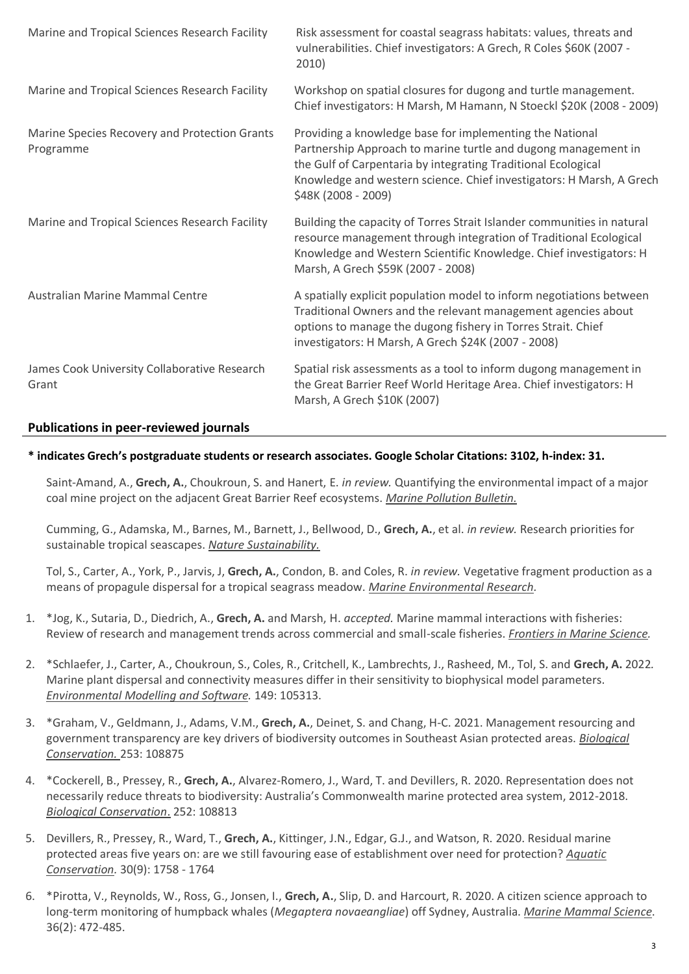| Marine and Tropical Sciences Research Facility             | Risk assessment for coastal seagrass habitats: values, threats and<br>vulnerabilities. Chief investigators: A Grech, R Coles \$60K (2007 -<br>2010)                                                                                                                                        |
|------------------------------------------------------------|--------------------------------------------------------------------------------------------------------------------------------------------------------------------------------------------------------------------------------------------------------------------------------------------|
| Marine and Tropical Sciences Research Facility             | Workshop on spatial closures for dugong and turtle management.<br>Chief investigators: H Marsh, M Hamann, N Stoeckl \$20K (2008 - 2009)                                                                                                                                                    |
| Marine Species Recovery and Protection Grants<br>Programme | Providing a knowledge base for implementing the National<br>Partnership Approach to marine turtle and dugong management in<br>the Gulf of Carpentaria by integrating Traditional Ecological<br>Knowledge and western science. Chief investigators: H Marsh, A Grech<br>\$48K (2008 - 2009) |
| Marine and Tropical Sciences Research Facility             | Building the capacity of Torres Strait Islander communities in natural<br>resource management through integration of Traditional Ecological<br>Knowledge and Western Scientific Knowledge. Chief investigators: H<br>Marsh, A Grech \$59K (2007 - 2008)                                    |
| Australian Marine Mammal Centre                            | A spatially explicit population model to inform negotiations between<br>Traditional Owners and the relevant management agencies about<br>options to manage the dugong fishery in Torres Strait. Chief<br>investigators: H Marsh, A Grech \$24K (2007 - 2008)                               |
| James Cook University Collaborative Research<br>Grant      | Spatial risk assessments as a tool to inform dugong management in<br>the Great Barrier Reef World Heritage Area. Chief investigators: H<br>Marsh, A Grech \$10K (2007)                                                                                                                     |

# **Publications in peer-reviewed journals**

# **\* indicates Grech's postgraduate students or research associates. Google Scholar Citations: 3102, h-index: 31.**

Saint-Amand, A., **Grech, A.**, Choukroun, S. and Hanert, E. *in review.* Quantifying the environmental impact of a major coal mine project on the adjacent Great Barrier Reef ecosystems. *Marine Pollution Bulletin.*

Cumming, G., Adamska, M., Barnes, M., Barnett, J., Bellwood, D., **Grech, A.**, et al. *in review.* Research priorities for sustainable tropical seascapes. *Nature Sustainability.*

Tol, S., Carter, A., York, P., Jarvis, J, **Grech, A.**, Condon, B. and Coles, R. *in review.* Vegetative fragment production as a means of propagule dispersal for a tropical seagrass meadow. *Marine Environmental Research.*

- 1. \*Jog, K., Sutaria, D., Diedrich, A., **Grech, A.** and Marsh, H. *accepted.* Marine mammal interactions with fisheries: Review of research and management trends across commercial and small-scale fisheries. *Frontiers in Marine Science.*
- 2. \*Schlaefer, J., Carter, A., Choukroun, S., Coles, R., Critchell, K., Lambrechts, J., Rasheed, M., Tol, S. and **Grech, A.** 2022*.*  Marine plant dispersal and connectivity measures differ in their sensitivity to biophysical model parameters. *Environmental Modelling and Software.* 149: 105313.
- 3. \*Graham, V., Geldmann, J., Adams, V.M., **Grech, A.**, Deinet, S. and Chang, H-C. 2021. Management resourcing and government transparency are key drivers of biodiversity outcomes in Southeast Asian protected areas. *Biological Conservation.* 253: 108875
- 4. \*Cockerell, B., Pressey, R., **Grech, A.**, Alvarez-Romero, J., Ward, T. and Devillers, R. 2020. Representation does not necessarily reduce threats to biodiversity: Australia's Commonwealth marine protected area system, 2012-2018. *Biological Conservation*. 252: 108813
- 5. Devillers, R., Pressey, R., Ward, T., **Grech, A.**, Kittinger, J.N., Edgar, G.J., and Watson, R. 2020. Residual marine protected areas five years on: are we still favouring ease of establishment over need for protection? *Aquatic Conservation.* 30(9): 1758 - 1764
- 6. \*Pirotta, V., Reynolds, W., Ross, G., Jonsen, I., **Grech, A.**, Slip, D. and Harcourt, R. 2020. A citizen science approach to long-term monitoring of humpback whales (*Megaptera novaeangliae*) off Sydney, Australia. *Marine Mammal Science*. 36(2): 472-485.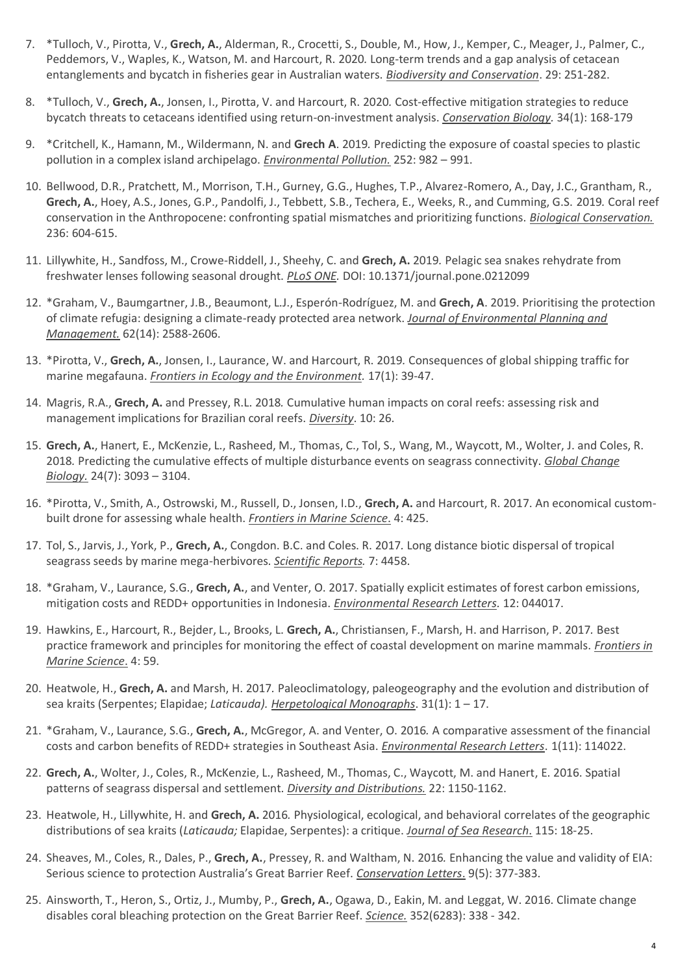- 7. \*Tulloch, V., Pirotta, V., **Grech, A.**, Alderman, R., Crocetti, S., Double, M., How, J., Kemper, C., Meager, J., Palmer, C., Peddemors, V., Waples, K., Watson, M. and Harcourt, R. 2020*.* Long-term trends and a gap analysis of cetacean entanglements and bycatch in fisheries gear in Australian waters. *Biodiversity and Conservation*. 29: 251-282.
- 8. \*Tulloch, V., **Grech, A.**, Jonsen, I., Pirotta, V. and Harcourt, R. 2020*.* Cost-effective mitigation strategies to reduce bycatch threats to cetaceans identified using return-on-investment analysis. *Conservation Biology.* 34(1): 168-179
- 9. \*Critchell, K., Hamann, M., Wildermann, N. and **Grech A**. 2019*.* Predicting the exposure of coastal species to plastic pollution in a complex island archipelago. *Environmental Pollution.* 252: 982 – 991.
- 10. Bellwood, D.R., Pratchett, M., Morrison, T.H., Gurney, G.G., Hughes, T.P., Alvarez-Romero, A., Day, J.C., Grantham, R., **Grech, A.**, Hoey, A.S., Jones, G.P., Pandolfi, J., Tebbett, S.B., Techera, E., Weeks, R., and Cumming, G.S. 2019*.* Coral reef conservation in the Anthropocene: confronting spatial mismatches and prioritizing functions. *Biological Conservation.* 236: 604-615.
- 11. Lillywhite, H., Sandfoss, M., Crowe-Riddell, J., Sheehy, C. and **Grech, A.** 2019*.* Pelagic sea snakes rehydrate from freshwater lenses following seasonal drought. *PLoS ONE.* DOI: 10.1371/journal.pone.0212099
- 12. \*Graham, V., Baumgartner, J.B., Beaumont, L.J., Esperón-Rodríguez, M. and **Grech, A**. 2019. Prioritising the protection of climate refugia: designing a climate-ready protected area network. *Journal of Environmental Planning and Management.* 62(14): 2588-2606.
- 13. \*Pirotta, V., **Grech, A.**, Jonsen, I., Laurance, W. and Harcourt, R. 2019*.* Consequences of global shipping traffic for marine megafauna. *Frontiers in Ecology and the Environment.* 17(1): 39-47.
- 14. Magris, R.A., **Grech, A.** and Pressey, R.L. 2018*.* Cumulative human impacts on coral reefs: assessing risk and management implications for Brazilian coral reefs. *Diversity*. 10: 26.
- 15. **Grech, A.**, Hanert, E., McKenzie, L., Rasheed, M., Thomas, C., Tol, S., Wang, M., Waycott, M., Wolter, J. and Coles, R. 2018*.* Predicting the cumulative effects of multiple disturbance events on seagrass connectivity. *Global Change Biology.* 24(7): 3093 – 3104.
- 16. \*Pirotta, V., Smith, A., Ostrowski, M., Russell, D., Jonsen, I.D., **Grech, A.** and Harcourt, R. 2017. An economical custombuilt drone for assessing whale health. *Frontiers in Marine Science*. 4: 425.
- 17. Tol, S., Jarvis, J., York, P., **Grech, A.**, Congdon. B.C. and Coles. R. 2017*.* Long distance biotic dispersal of tropical seagrass seeds by marine mega-herbivores. *Scientific Reports.* 7: 4458.
- 18. \*Graham, V., Laurance, S.G., **Grech, A.**, and Venter, O. 2017. Spatially explicit estimates of forest carbon emissions, mitigation costs and REDD+ opportunities in Indonesia. *Environmental Research Letters.* 12: 044017.
- 19. Hawkins, E., Harcourt, R., Bejder, L., Brooks, L. **Grech, A.**, Christiansen, F., Marsh, H. and Harrison, P. 2017*.* Best practice framework and principles for monitoring the effect of coastal development on marine mammals. *Frontiers in Marine Science*. 4: 59.
- 20. Heatwole, H., **Grech, A.** and Marsh, H. 2017*.* Paleoclimatology, paleogeography and the evolution and distribution of sea kraits (Serpentes; Elapidae; *Laticauda). Herpetological Monographs*. 31(1): 1 – 17.
- 21. \*Graham, V., Laurance, S.G., **Grech, A.**, McGregor, A. and Venter, O. 2016*.* A comparative assessment of the financial costs and carbon benefits of REDD+ strategies in Southeast Asia. *Environmental Research Letters*. 1(11): 114022.
- 22. **Grech, A.**, Wolter, J., Coles, R., McKenzie, L., Rasheed, M., Thomas, C., Waycott, M. and Hanert, E. 2016. Spatial patterns of seagrass dispersal and settlement. *Diversity and Distributions.* 22: 1150-1162.
- 23. Heatwole, H., Lillywhite, H. and **Grech, A.** 2016*.* Physiological, ecological, and behavioral correlates of the geographic distributions of sea kraits (*Laticauda;* Elapidae, Serpentes): a critique. *Journal of Sea Research*. 115: 18-25.
- 24. Sheaves, M., Coles, R., Dales, P., **Grech, A.**, Pressey, R. and Waltham, N. 2016*.* Enhancing the value and validity of EIA: Serious science to protection Australia's Great Barrier Reef. *Conservation Letters*. 9(5): 377-383.
- 25. Ainsworth, T., Heron, S., Ortiz, J., Mumby, P., **Grech, A.**, Ogawa, D., Eakin, M. and Leggat, W. 2016. Climate change disables coral bleaching protection on the Great Barrier Reef. *Science.* 352(6283): 338 - 342.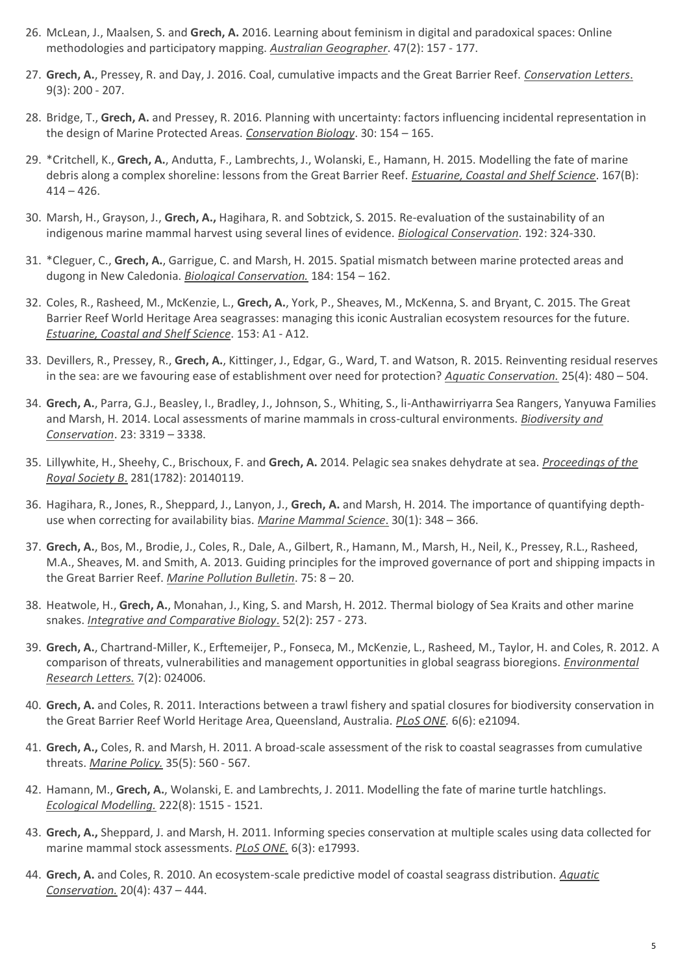- 26. McLean, J., Maalsen, S. and **Grech, A.** 2016. Learning about feminism in digital and paradoxical spaces: Online methodologies and participatory mapping. *Australian Geographer*. 47(2): 157 - 177.
- 27. **Grech, A.**, Pressey, R. and Day, J. 2016. Coal, cumulative impacts and the Great Barrier Reef. *Conservation Letters*. 9(3): 200 - 207.
- 28. Bridge, T., **Grech, A.** and Pressey, R. 2016. Planning with uncertainty: factors influencing incidental representation in the design of Marine Protected Areas. *Conservation Biology*. 30: 154 – 165.
- 29. \*Critchell, K., **Grech, A.**, Andutta, F., Lambrechts, J., Wolanski, E., Hamann, H. 2015. Modelling the fate of marine debris along a complex shoreline: lessons from the Great Barrier Reef. *Estuarine, Coastal and Shelf Science*. 167(B):  $414 - 426.$
- 30. Marsh, H., Grayson, J., **Grech, A.,** Hagihara, R. and Sobtzick, S. 2015. Re-evaluation of the sustainability of an indigenous marine mammal harvest using several lines of evidence. *Biological Conservation*. 192: 324-330.
- 31. \*Cleguer, C., **Grech, A.**, Garrigue, C. and Marsh, H. 2015. Spatial mismatch between marine protected areas and dugong in New Caledonia. *Biological Conservation.* 184: 154 – 162.
- 32. Coles, R., Rasheed, M., McKenzie, L., **Grech, A.**, York, P., Sheaves, M., McKenna, S. and Bryant, C. 2015. The Great Barrier Reef World Heritage Area seagrasses: managing this iconic Australian ecosystem resources for the future. *Estuarine, Coastal and Shelf Science*. 153: A1 - A12.
- 33. Devillers, R., Pressey, R., **Grech, A.**, Kittinger, J., Edgar, G., Ward, T. and Watson, R. 2015. Reinventing residual reserves in the sea: are we favouring ease of establishment over need for protection? *Aquatic Conservation.* 25(4): 480 – 504.
- 34. **Grech, A.**, Parra, G.J., Beasley, I., Bradley, J., Johnson, S., Whiting, S., li-Anthawirriyarra Sea Rangers, Yanyuwa Families and Marsh, H. 2014. Local assessments of marine mammals in cross-cultural environments. *Biodiversity and Conservation*. 23: 3319 – 3338.
- 35. Lillywhite, H., Sheehy, C., Brischoux, F. and **Grech, A.** 2014. Pelagic sea snakes dehydrate at sea. *Proceedings of the Royal Society B*. 281(1782): 20140119.
- 36. Hagihara, R., Jones, R., Sheppard, J., Lanyon, J., **Grech, A.** and Marsh, H. 2014*.* The importance of quantifying depthuse when correcting for availability bias. *Marine Mammal Science*. 30(1): 348 – 366.
- 37. **Grech, A.**, Bos, M., Brodie, J., Coles, R., Dale, A., Gilbert, R., Hamann, M., Marsh, H., Neil, K., Pressey, R.L., Rasheed, M.A., Sheaves, M. and Smith, A. 2013. Guiding principles for the improved governance of port and shipping impacts in the Great Barrier Reef. *Marine Pollution Bulletin*. 75: 8 – 20.
- 38. Heatwole, H., **Grech, A.**, Monahan, J., King, S. and Marsh, H. 2012*.* Thermal biology of Sea Kraits and other marine snakes. *Integrative and Comparative Biology*. 52(2): 257 - 273.
- 39. **Grech, A.**, Chartrand-Miller, K., Erftemeijer, P., Fonseca, M., McKenzie, L., Rasheed, M., Taylor, H. and Coles, R. 2012*.* A comparison of threats, vulnerabilities and management opportunities in global seagrass bioregions. *Environmental Research Letters.* 7(2): 024006.
- 40. **Grech, A.** and Coles, R. 2011. Interactions between a trawl fishery and spatial closures for biodiversity conservation in the Great Barrier Reef World Heritage Area, Queensland, Australia. *PLoS ONE.* 6(6): e21094.
- 41. **Grech, A.,** Coles, R. and Marsh, H. 2011. A broad-scale assessment of the risk to coastal seagrasses from cumulative threats. *Marine Policy.* 35(5): 560 - 567.
- 42. Hamann, M., **Grech, A.**, Wolanski, E. and Lambrechts, J. 2011. Modelling the fate of marine turtle hatchlings. *Ecological Modelling.* 222(8): 1515 - 1521.
- 43. **Grech, A.,** Sheppard, J. and Marsh, H. 2011. Informing species conservation at multiple scales using data collected for marine mammal stock assessments. *PLoS ONE.* 6(3): e17993.
- 44. **Grech, A.** and Coles, R. 2010. An ecosystem-scale predictive model of coastal seagrass distribution. *Aquatic Conservation.* 20(4): 437 – 444.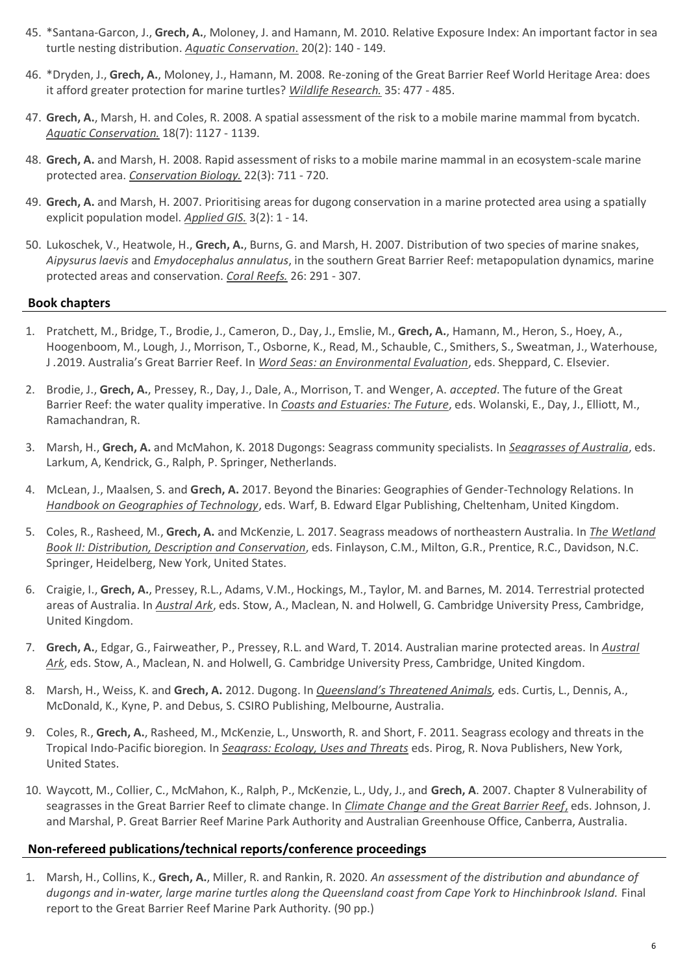- 45. \*Santana-Garcon, J., **Grech, A.**, Moloney, J. and Hamann, M. 2010. Relative Exposure Index: An important factor in sea turtle nesting distribution. *Aquatic Conservation*. 20(2): 140 - 149.
- 46. \*Dryden, J., **Grech, A.**, Moloney, J., Hamann, M. 2008. Re-zoning of the Great Barrier Reef World Heritage Area: does it afford greater protection for marine turtles? *Wildlife Research.* 35: 477 - 485.
- 47. **Grech, A.**, Marsh, H. and Coles, R. 2008. A spatial assessment of the risk to a mobile marine mammal from bycatch. *Aquatic Conservation.* 18(7): 1127 - 1139.
- 48. **Grech, A.** and Marsh, H. 2008. Rapid assessment of risks to a mobile marine mammal in an ecosystem-scale marine protected area. *Conservation Biology.* 22(3): 711 - 720.
- 49. **Grech, A.** and Marsh, H. 2007. Prioritising areas for dugong conservation in a marine protected area using a spatially explicit population model. *Applied GIS.* 3(2): 1 - 14.
- 50. Lukoschek, V., Heatwole, H., **Grech, A.**, Burns, G. and Marsh, H. 2007. Distribution of two species of marine snakes, *Aipysurus laevis* and *Emydocephalus annulatus*, in the southern Great Barrier Reef: metapopulation dynamics, marine protected areas and conservation. *Coral Reefs.* 26: 291 - 307.

# **Book chapters**

- 1. Pratchett, M., Bridge, T., Brodie, J., Cameron, D., Day, J., Emslie, M., **Grech, A.**, Hamann, M., Heron, S., Hoey, A., Hoogenboom, M., Lough, J., Morrison, T., Osborne, K., Read, M., Schauble, C., Smithers, S., Sweatman, J., Waterhouse, J *.*2019. Australia's Great Barrier Reef. In *Word Seas: an Environmental Evaluation*, eds. Sheppard, C. Elsevier.
- 2. Brodie, J., **Grech, A.**, Pressey, R., Day, J., Dale, A., Morrison, T. and Wenger, A. *accepted*. The future of the Great Barrier Reef: the water quality imperative. In *Coasts and Estuaries: The Future*, eds. Wolanski, E., Day, J., Elliott, M., Ramachandran, R.
- 3. Marsh, H., **Grech, A.** and McMahon, K. 2018 Dugongs: Seagrass community specialists. In *Seagrasses of Australia*, eds. Larkum, A, Kendrick, G., Ralph, P. Springer, Netherlands.
- 4. McLean, J., Maalsen, S. and **Grech, A.** 2017. Beyond the Binaries: Geographies of Gender-Technology Relations. In *Handbook on Geographies of Technology*, eds. Warf, B. Edward Elgar Publishing, Cheltenham, United Kingdom.
- 5. Coles, R., Rasheed, M., **Grech, A.** and McKenzie, L. 2017. Seagrass meadows of northeastern Australia. In *The Wetland Book II: Distribution, Description and Conservation*, eds. Finlayson, C.M., Milton, G.R., Prentice, R.C., Davidson, N.C. Springer, Heidelberg, New York, United States.
- 6. Craigie, I., **Grech, A.**, Pressey, R.L., Adams, V.M., Hockings, M., Taylor, M. and Barnes, M. 2014. Terrestrial protected areas of Australia. In *Austral Ark*, eds. Stow, A., Maclean, N. and Holwell, G. Cambridge University Press, Cambridge, United Kingdom.
- 7. **Grech, A.**, Edgar, G., Fairweather, P., Pressey, R.L. and Ward, T. 2014. Australian marine protected areas. In *Austral Ark*, eds. Stow, A., Maclean, N. and Holwell, G. Cambridge University Press, Cambridge, United Kingdom.
- 8. Marsh, H., Weiss, K. and **Grech, A.** 2012. Dugong. In *Queensland's Threatened Animals,* eds. Curtis, L., Dennis, A., McDonald, K., Kyne, P. and Debus, S. CSIRO Publishing, Melbourne, Australia.
- 9. Coles, R., **Grech, A.**, Rasheed, M., McKenzie, L., Unsworth, R. and Short, F. 2011. Seagrass ecology and threats in the Tropical Indo-Pacific bioregion. In *Seagrass: Ecology, Uses and Threats* eds. Pirog, R. Nova Publishers, New York, United States.
- 10. Waycott, M., Collier, C., McMahon, K., Ralph, P., McKenzie, L., Udy, J., and **Grech, A**. 2007. Chapter 8 Vulnerability of seagrasses in the Great Barrier Reef to climate change. In *Climate Change and the Great Barrier Reef*, eds. Johnson, J. and Marshal, P. Great Barrier Reef Marine Park Authority and Australian Greenhouse Office, Canberra, Australia.

#### **Non-refereed publications/technical reports/conference proceedings**

1. Marsh, H., Collins, K., **Grech, A.**, Miller, R. and Rankin, R. 2020. *An assessment of the distribution and abundance of dugongs and in-water, large marine turtles along the Queensland coast from Cape York to Hinchinbrook Island.* Final report to the Great Barrier Reef Marine Park Authority. (90 pp.)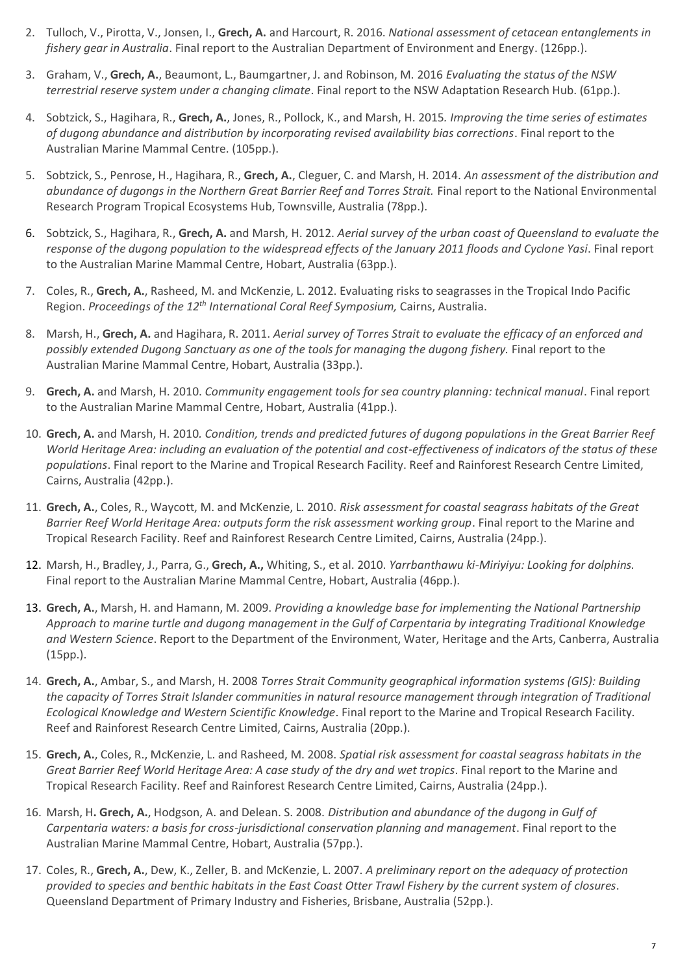- 2. Tulloch, V., Pirotta, V., Jonsen, I., **Grech, A.** and Harcourt, R. 2016. *National assessment of cetacean entanglements in fishery gear in Australia*. Final report to the Australian Department of Environment and Energy. (126pp.).
- 3. Graham, V., **Grech, A.**, Beaumont, L., Baumgartner, J. and Robinson, M. 2016 *Evaluating the status of the NSW terrestrial reserve system under a changing climate*. Final report to the NSW Adaptation Research Hub. (61pp.).
- 4. Sobtzick, S., Hagihara, R., **Grech, A.**, Jones, R., Pollock, K., and Marsh, H. 2015*. Improving the time series of estimates of dugong abundance and distribution by incorporating revised availability bias corrections*. Final report to the Australian Marine Mammal Centre. (105pp.).
- 5. Sobtzick, S., Penrose, H., Hagihara, R., **Grech, A.**, Cleguer, C. and Marsh, H. 2014. *An assessment of the distribution and abundance of dugongs in the Northern Great Barrier Reef and Torres Strait.* Final report to the National Environmental Research Program Tropical Ecosystems Hub, Townsville, Australia (78pp.).
- 6. Sobtzick, S., Hagihara, R., **Grech, A.** and Marsh, H. 2012. *Aerial survey of the urban coast of Queensland to evaluate the response of the dugong population to the widespread effects of the January 2011 floods and Cyclone Yasi*. Final report to the Australian Marine Mammal Centre, Hobart, Australia (63pp.).
- 7. Coles, R., **Grech, A.**, Rasheed, M. and McKenzie, L. 2012. Evaluating risks to seagrasses in the Tropical Indo Pacific Region. *Proceedings of the 12th International Coral Reef Symposium,* Cairns, Australia.
- 8. Marsh, H., **Grech, A.** and Hagihara, R. 2011. *Aerial survey of Torres Strait to evaluate the efficacy of an enforced and possibly extended Dugong Sanctuary as one of the tools for managing the dugong fishery.* Final report to the Australian Marine Mammal Centre, Hobart, Australia (33pp.).
- 9. **Grech, A.** and Marsh, H. 2010. *Community engagement tools for sea country planning: technical manual*. Final report to the Australian Marine Mammal Centre, Hobart, Australia (41pp.).
- 10. **Grech, A.** and Marsh, H. 2010*. Condition, trends and predicted futures of dugong populations in the Great Barrier Reef World Heritage Area: including an evaluation of the potential and cost-effectiveness of indicators of the status of these populations*. Final report to the Marine and Tropical Research Facility. Reef and Rainforest Research Centre Limited, Cairns, Australia (42pp.).
- 11. **Grech, A.**, Coles, R., Waycott, M. and McKenzie, L. 2010. *Risk assessment for coastal seagrass habitats of the Great Barrier Reef World Heritage Area: outputs form the risk assessment working group*. Final report to the Marine and Tropical Research Facility. Reef and Rainforest Research Centre Limited, Cairns, Australia (24pp.).
- 12. Marsh, H., Bradley, J., Parra, G., **Grech, A.,** Whiting, S., et al. 2010. *Yarrbanthawu ki-Miriyiyu: Looking for dolphins.* Final report to the Australian Marine Mammal Centre, Hobart, Australia (46pp.).
- 13. **Grech, A.**, Marsh, H. and Hamann, M. 2009. *Providing a knowledge base for implementing the National Partnership Approach to marine turtle and dugong management in the Gulf of Carpentaria by integrating Traditional Knowledge and Western Science*. Report to the Department of the Environment, Water, Heritage and the Arts, Canberra, Australia (15pp.).
- 14. **Grech, A.**, Ambar, S., and Marsh, H. 2008 *Torres Strait Community geographical information systems (GIS): Building the capacity of Torres Strait Islander communities in natural resource management through integration of Traditional Ecological Knowledge and Western Scientific Knowledge*. Final report to the Marine and Tropical Research Facility. Reef and Rainforest Research Centre Limited, Cairns, Australia (20pp.).
- 15. **Grech, A.**, Coles, R., McKenzie, L. and Rasheed, M. 2008. *Spatial risk assessment for coastal seagrass habitats in the Great Barrier Reef World Heritage Area: A case study of the dry and wet tropics*. Final report to the Marine and Tropical Research Facility. Reef and Rainforest Research Centre Limited, Cairns, Australia (24pp.).
- 16. Marsh, H**. Grech, A.**, Hodgson, A. and Delean. S. 2008. *Distribution and abundance of the dugong in Gulf of Carpentaria waters: a basis for cross-jurisdictional conservation planning and management*. Final report to the Australian Marine Mammal Centre, Hobart, Australia (57pp.).
- 17. Coles, R., **Grech, A.**, Dew, K., Zeller, B. and McKenzie, L. 2007. *A preliminary report on the adequacy of protection provided to species and benthic habitats in the East Coast Otter Trawl Fishery by the current system of closures*. Queensland Department of Primary Industry and Fisheries, Brisbane, Australia (52pp.).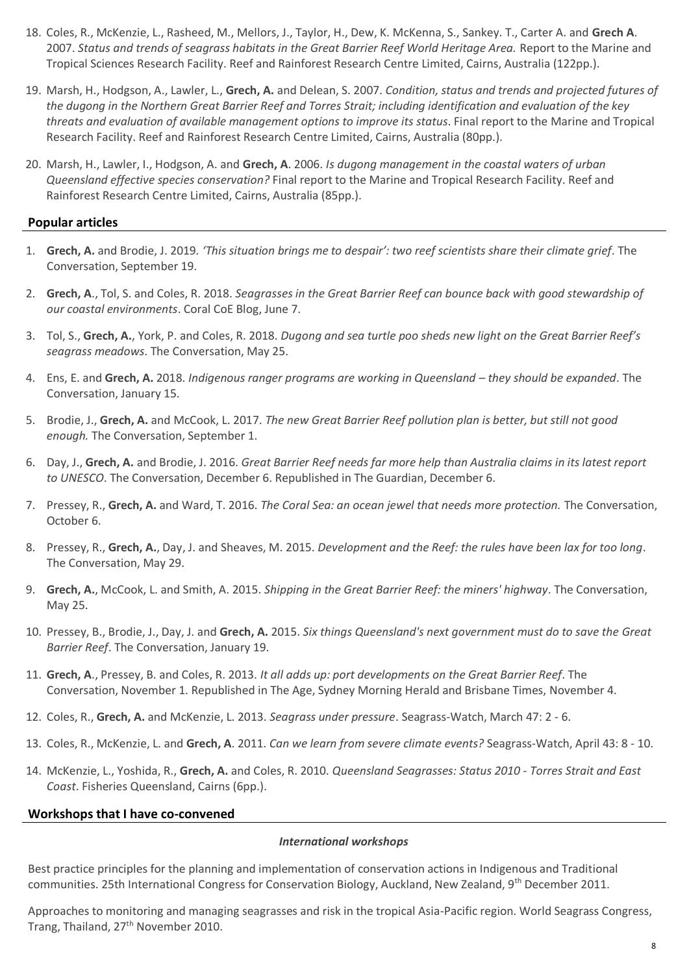- 18. Coles, R., McKenzie, L., Rasheed, M., Mellors, J., Taylor, H., Dew, K. McKenna, S., Sankey. T., Carter A. and **Grech A**. 2007. *Status and trends of seagrass habitats in the Great Barrier Reef World Heritage Area.* Report to the Marine and Tropical Sciences Research Facility. Reef and Rainforest Research Centre Limited, Cairns, Australia (122pp.).
- 19. Marsh, H., Hodgson, A., Lawler, L., **Grech, A.** and Delean, S. 2007. *Condition, status and trends and projected futures of the dugong in the Northern Great Barrier Reef and Torres Strait; including identification and evaluation of the key threats and evaluation of available management options to improve its status*. Final report to the Marine and Tropical Research Facility. Reef and Rainforest Research Centre Limited, Cairns, Australia (80pp.).
- 20. Marsh, H., Lawler, I., Hodgson, A. and **Grech, A**. 2006. *Is dugong management in the coastal waters of urban Queensland effective species conservation?* Final report to the Marine and Tropical Research Facility. Reef and Rainforest Research Centre Limited, Cairns, Australia (85pp.).

# **Popular articles**

- 1. **Grech, A.** and Brodie, J. 2019*. 'This situation brings me to despair': two reef scientists share their climate grief*. The Conversation, September 19.
- 2. **Grech, A**., Tol, S. and Coles, R. 2018. *Seagrasses in the Great Barrier Reef can bounce back with good stewardship of our coastal environments*. Coral CoE Blog, June 7.
- 3. Tol, S., **Grech, A.**, York, P. and Coles, R. 2018. *Dugong and sea turtle poo sheds new light on the Great Barrier Reef's seagrass meadows*. The Conversation, May 25.
- 4. Ens, E. and **Grech, A.** 2018. *Indigenous ranger programs are working in Queensland – they should be expanded*. The Conversation, January 15.
- 5. Brodie, J., **Grech, A.** and McCook, L. 2017. *The new Great Barrier Reef pollution plan is better, but still not good enough.* The Conversation, September 1.
- 6. Day, J., **Grech, A.** and Brodie, J. 2016. *Great Barrier Reef needs far more help than Australia claims in its latest report to UNESCO*. The Conversation, December 6. Republished in The Guardian, December 6.
- 7. Pressey, R., **Grech, A.** and Ward, T. 2016. *The Coral Sea: an ocean jewel that needs more protection.* The Conversation, October 6.
- 8. Pressey, R., **Grech, A.**, Day, J. and Sheaves, M. 2015. *Development and the Reef: the rules have been lax for too long*. The Conversation, May 29.
- 9. **Grech, A.**, McCook, L. and Smith, A. 2015. *Shipping in the Great Barrier Reef: the miners' highway*. The Conversation, May 25.
- 10. Pressey, B., Brodie, J., Day, J. and **Grech, A.** 2015. *Six things Queensland's next government must do to save the Great Barrier Reef*. The Conversation, January 19.
- 11. **Grech, A**., Pressey, B. and Coles, R. 2013. *It all adds up: port developments on the Great Barrier Reef*. The Conversation, November 1. Republished in The Age, Sydney Morning Herald and Brisbane Times, November 4.
- 12. Coles, R., **Grech, A.** and McKenzie, L. 2013. *Seagrass under pressure*. Seagrass-Watch, March 47: 2 6.
- 13. Coles, R., McKenzie, L. and **Grech, A**. 2011. *Can we learn from severe climate events?* Seagrass-Watch, April 43: 8 10.
- 14. McKenzie, L., Yoshida, R., **Grech, A.** and Coles, R. 2010. *Queensland Seagrasses: Status 2010 - Torres Strait and East Coast*. Fisheries Queensland, Cairns (6pp.).

#### **Workshops that I have co-convened**

#### *International workshops*

Best practice principles for the planning and implementation of conservation actions in Indigenous and Traditional communities. 25th International Congress for Conservation Biology, Auckland, New Zealand, 9<sup>th</sup> December 2011.

Approaches to monitoring and managing seagrasses and risk in the tropical Asia-Pacific region. World Seagrass Congress, Trang, Thailand, 27<sup>th</sup> November 2010.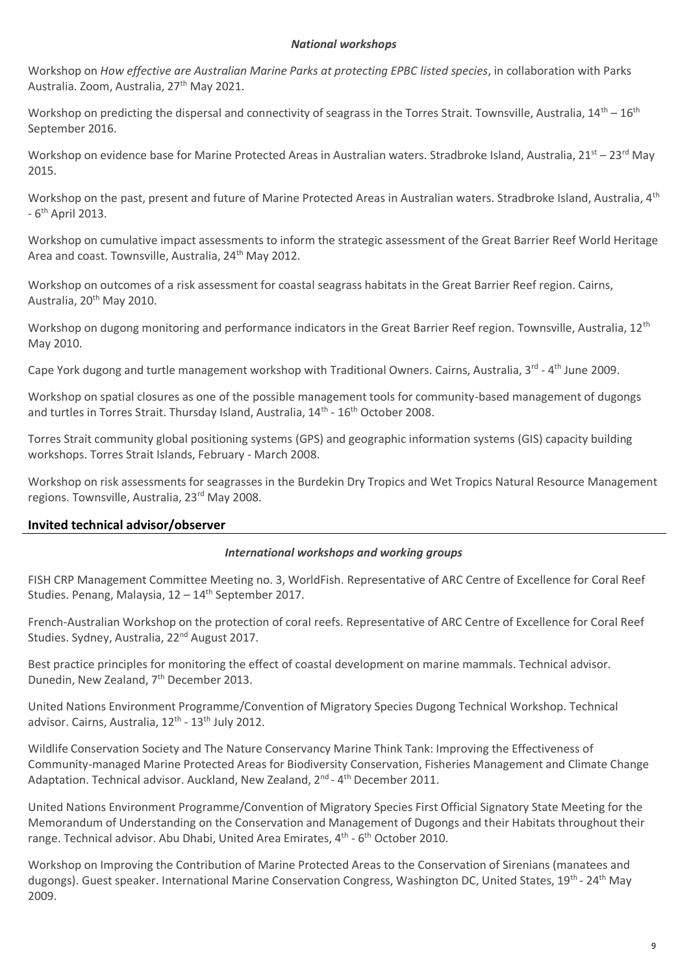#### *National workshops*

Workshop on *How effective are Australian Marine Parks at protecting EPBC listed species*, in collaboration with Parks Australia. Zoom, Australia. 27<sup>th</sup> May 2021.

Workshop on predicting the dispersal and connectivity of seagrass in the Torres Strait. Townsville, Australia,  $14^{\text{th}} - 16^{\text{th}}$ September 2016.

Workshop on evidence base for Marine Protected Areas in Australian waters. Stradbroke Island, Australia, 21st – 23rd May 2015.

Workshop on the past, present and future of Marine Protected Areas in Australian waters. Stradbroke Island, Australia, 4<sup>th</sup> - 6<sup>th</sup> April 2013.

Workshop on cumulative impact assessments to inform the strategic assessment of the Great Barrier Reef World Heritage Area and coast. Townsville, Australia, 24<sup>th</sup> May 2012.

Workshop on outcomes of a risk assessment for coastal seagrass habitats in the Great Barrier Reef region. Cairns, Australia, 20<sup>th</sup> May 2010.

Workshop on dugong monitoring and performance indicators in the Great Barrier Reef region. Townsville, Australia, 12<sup>th</sup> May 2010.

Cape York dugong and turtle management workshop with Traditional Owners. Cairns, Australia, 3<sup>rd</sup> - 4<sup>th</sup> June 2009.

Workshop on spatial closures as one of the possible management tools for community-based management of dugongs and turtles in Torres Strait. Thursday Island, Australia, 14<sup>th</sup> - 16<sup>th</sup> October 2008.

Torres Strait community global positioning systems (GPS) and geographic information systems (GIS) capacity building workshops. Torres Strait Islands, February - March 2008.

Workshop on risk assessments for seagrasses in the Burdekin Dry Tropics and Wet Tropics Natural Resource Management regions. Townsville, Australia, 23<sup>rd</sup> May 2008.

# **Invited technical advisor/observer**

#### *International workshops and working groups*

FISH CRP Management Committee Meeting no. 3, WorldFish. Representative of ARC Centre of Excellence for Coral Reef Studies. Penang, Malaysia,  $12 - 14$ <sup>th</sup> September 2017.

French-Australian Workshop on the protection of coral reefs. Representative of ARC Centre of Excellence for Coral Reef Studies. Sydney, Australia, 22<sup>nd</sup> August 2017.

Best practice principles for monitoring the effect of coastal development on marine mammals. Technical advisor. Dunedin, New Zealand, 7th December 2013.

United Nations Environment Programme/Convention of Migratory Species Dugong Technical Workshop. Technical advisor. Cairns, Australia, 12<sup>th</sup> - 13<sup>th</sup> July 2012.

Wildlife Conservation Society and The Nature Conservancy Marine Think Tank: Improving the Effectiveness of Community-managed Marine Protected Areas for Biodiversity Conservation, Fisheries Management and Climate Change Adaptation. Technical advisor. Auckland, New Zealand, 2<sup>nd</sup> - 4<sup>th</sup> December 2011.

United Nations Environment Programme/Convention of Migratory Species First Official Signatory State Meeting for the Memorandum of Understanding on the Conservation and Management of Dugongs and their Habitats throughout their range. Technical advisor. Abu Dhabi, United Area Emirates, 4<sup>th</sup> - 6<sup>th</sup> October 2010.

Workshop on Improving the Contribution of Marine Protected Areas to the Conservation of Sirenians (manatees and dugongs). Guest speaker. International Marine Conservation Congress, Washington DC, United States, 19<sup>th</sup> - 24<sup>th</sup> May 2009.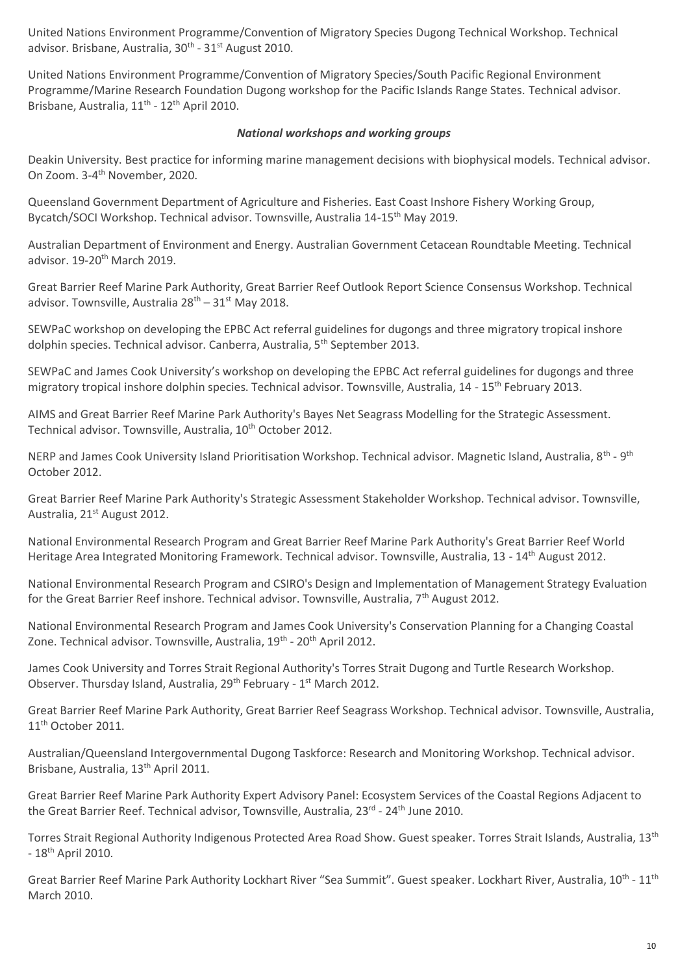United Nations Environment Programme/Convention of Migratory Species Dugong Technical Workshop. Technical advisor. Brisbane, Australia, 30<sup>th</sup> - 31<sup>st</sup> August 2010.

United Nations Environment Programme/Convention of Migratory Species/South Pacific Regional Environment Programme/Marine Research Foundation Dugong workshop for the Pacific Islands Range States. Technical advisor. Brisbane, Australia, 11<sup>th</sup> - 12<sup>th</sup> April 2010.

# *National workshops and working groups*

Deakin University. Best practice for informing marine management decisions with biophysical models. Technical advisor. On Zoom. 3-4<sup>th</sup> November, 2020.

Queensland Government Department of Agriculture and Fisheries. East Coast Inshore Fishery Working Group, Bycatch/SOCI Workshop. Technical advisor. Townsville, Australia 14-15th May 2019.

Australian Department of Environment and Energy. Australian Government Cetacean Roundtable Meeting. Technical advisor. 19-20<sup>th</sup> March 2019.

Great Barrier Reef Marine Park Authority, Great Barrier Reef Outlook Report Science Consensus Workshop. Technical advisor. Townsville, Australia  $28^{th}$  –  $31^{st}$  May 2018.

SEWPaC workshop on developing the EPBC Act referral guidelines for dugongs and three migratory tropical inshore dolphin species. Technical advisor. Canberra, Australia, 5<sup>th</sup> September 2013.

SEWPaC and James Cook University's workshop on developing the EPBC Act referral guidelines for dugongs and three migratory tropical inshore dolphin species. Technical advisor. Townsville, Australia, 14 - 15th February 2013.

AIMS and Great Barrier Reef Marine Park Authority's Bayes Net Seagrass Modelling for the Strategic Assessment. Technical advisor. Townsville, Australia, 10<sup>th</sup> October 2012.

NERP and James Cook University Island Prioritisation Workshop. Technical advisor. Magnetic Island, Australia, 8<sup>th</sup> - 9<sup>th</sup> October 2012.

Great Barrier Reef Marine Park Authority's Strategic Assessment Stakeholder Workshop. Technical advisor. Townsville, Australia, 21<sup>st</sup> August 2012.

National Environmental Research Program and Great Barrier Reef Marine Park Authority's Great Barrier Reef World Heritage Area Integrated Monitoring Framework. Technical advisor. Townsville, Australia, 13 - 14<sup>th</sup> August 2012.

National Environmental Research Program and CSIRO's Design and Implementation of Management Strategy Evaluation for the Great Barrier Reef inshore. Technical advisor. Townsville, Australia,  $7<sup>th</sup>$  August 2012.

National Environmental Research Program and James Cook University's Conservation Planning for a Changing Coastal Zone. Technical advisor. Townsville, Australia, 19<sup>th</sup> - 20<sup>th</sup> April 2012.

James Cook University and Torres Strait Regional Authority's Torres Strait Dugong and Turtle Research Workshop. Observer. Thursday Island, Australia, 29<sup>th</sup> February - 1<sup>st</sup> March 2012.

Great Barrier Reef Marine Park Authority, Great Barrier Reef Seagrass Workshop. Technical advisor. Townsville, Australia, 11<sup>th</sup> October 2011.

Australian/Queensland Intergovernmental Dugong Taskforce: Research and Monitoring Workshop. Technical advisor. Brisbane, Australia, 13<sup>th</sup> April 2011.

Great Barrier Reef Marine Park Authority Expert Advisory Panel: Ecosystem Services of the Coastal Regions Adjacent to the Great Barrier Reef. Technical advisor, Townsville, Australia, 23<sup>rd</sup> - 24<sup>th</sup> June 2010.

Torres Strait Regional Authority Indigenous Protected Area Road Show. Guest speaker. Torres Strait Islands, Australia, 13<sup>th</sup>  $-18$ <sup>th</sup> April 2010.

Great Barrier Reef Marine Park Authority Lockhart River "Sea Summit". Guest speaker. Lockhart River, Australia, 10<sup>th</sup> - 11<sup>th</sup> March 2010.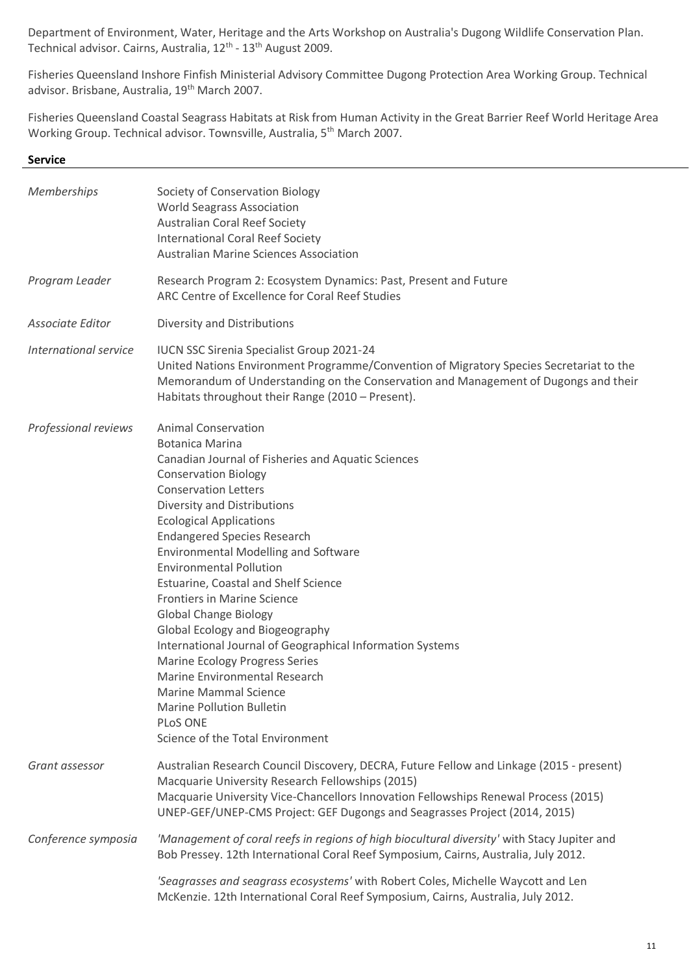Department of Environment, Water, Heritage and the Arts Workshop on Australia's Dugong Wildlife Conservation Plan. Technical advisor. Cairns, Australia, 12<sup>th</sup> - 13<sup>th</sup> August 2009.

Fisheries Queensland Inshore Finfish Ministerial Advisory Committee Dugong Protection Area Working Group. Technical advisor. Brisbane, Australia, 19<sup>th</sup> March 2007.

Fisheries Queensland Coastal Seagrass Habitats at Risk from Human Activity in the Great Barrier Reef World Heritage Area Working Group. Technical advisor. Townsville, Australia, 5th March 2007.

#### **Service**

| Society of Conservation Biology<br><b>World Seagrass Association</b><br><b>Australian Coral Reef Society</b><br><b>International Coral Reef Society</b><br><b>Australian Marine Sciences Association</b>                                                                                                                                                                                                                                                                                                                                                                                                                                                                                                                                                              |
|-----------------------------------------------------------------------------------------------------------------------------------------------------------------------------------------------------------------------------------------------------------------------------------------------------------------------------------------------------------------------------------------------------------------------------------------------------------------------------------------------------------------------------------------------------------------------------------------------------------------------------------------------------------------------------------------------------------------------------------------------------------------------|
| Research Program 2: Ecosystem Dynamics: Past, Present and Future<br>ARC Centre of Excellence for Coral Reef Studies                                                                                                                                                                                                                                                                                                                                                                                                                                                                                                                                                                                                                                                   |
| Diversity and Distributions                                                                                                                                                                                                                                                                                                                                                                                                                                                                                                                                                                                                                                                                                                                                           |
| <b>IUCN SSC Sirenia Specialist Group 2021-24</b><br>United Nations Environment Programme/Convention of Migratory Species Secretariat to the<br>Memorandum of Understanding on the Conservation and Management of Dugongs and their<br>Habitats throughout their Range (2010 - Present).                                                                                                                                                                                                                                                                                                                                                                                                                                                                               |
| <b>Animal Conservation</b><br><b>Botanica Marina</b><br>Canadian Journal of Fisheries and Aquatic Sciences<br><b>Conservation Biology</b><br><b>Conservation Letters</b><br>Diversity and Distributions<br><b>Ecological Applications</b><br><b>Endangered Species Research</b><br><b>Environmental Modelling and Software</b><br><b>Environmental Pollution</b><br>Estuarine, Coastal and Shelf Science<br><b>Frontiers in Marine Science</b><br><b>Global Change Biology</b><br>Global Ecology and Biogeography<br>International Journal of Geographical Information Systems<br><b>Marine Ecology Progress Series</b><br>Marine Environmental Research<br>Marine Mammal Science<br><b>Marine Pollution Bulletin</b><br>PLoS ONE<br>Science of the Total Environment |
| Australian Research Council Discovery, DECRA, Future Fellow and Linkage (2015 - present)<br>Macquarie University Research Fellowships (2015)<br>Macquarie University Vice-Chancellors Innovation Fellowships Renewal Process (2015)<br>UNEP-GEF/UNEP-CMS Project: GEF Dugongs and Seagrasses Project (2014, 2015)                                                                                                                                                                                                                                                                                                                                                                                                                                                     |
| 'Management of coral reefs in regions of high biocultural diversity' with Stacy Jupiter and<br>Bob Pressey. 12th International Coral Reef Symposium, Cairns, Australia, July 2012.<br>'Seagrasses and seagrass ecosystems' with Robert Coles, Michelle Waycott and Len<br>McKenzie. 12th International Coral Reef Symposium, Cairns, Australia, July 2012.                                                                                                                                                                                                                                                                                                                                                                                                            |
|                                                                                                                                                                                                                                                                                                                                                                                                                                                                                                                                                                                                                                                                                                                                                                       |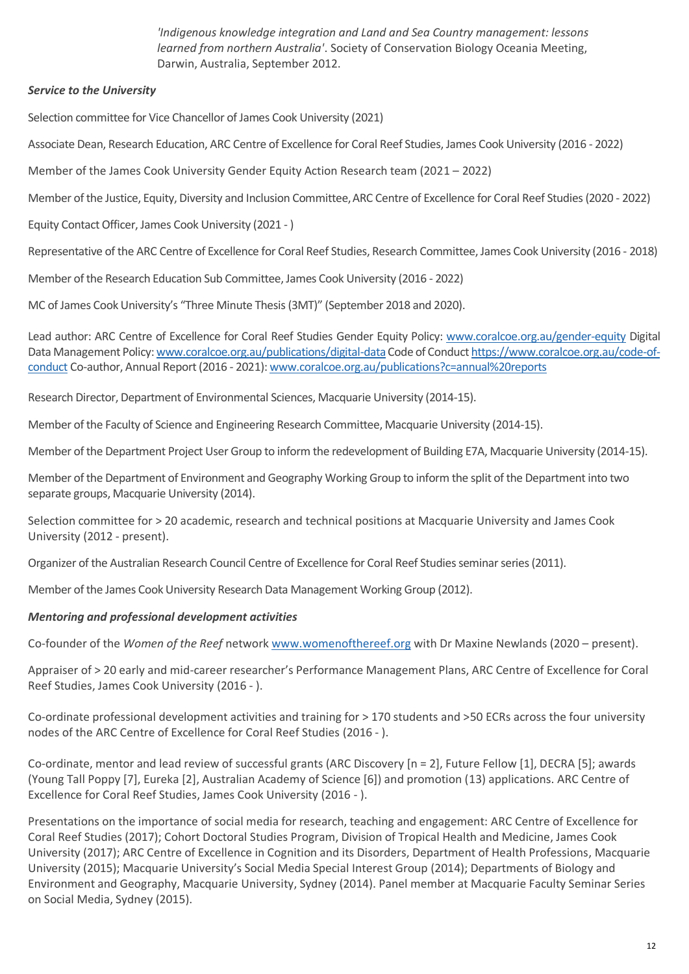*'Indigenous knowledge integration and Land and Sea Country management: lessons learned from northern Australia'*. Society of Conservation Biology Oceania Meeting, Darwin, Australia, September 2012.

# *Service to the University*

Selection committee for Vice Chancellor of James Cook University (2021)

Associate Dean, Research Education, ARC Centre of Excellence for Coral Reef Studies, James Cook University (2016 - 2022)

Member of the James Cook University Gender Equity Action Research team (2021 – 2022)

Member of the Justice, Equity, Diversity and Inclusion Committee,ARC Centre of Excellence for Coral Reef Studies (2020 - 2022)

Equity Contact Officer, James Cook University (2021 - )

Representative of the ARC Centre of Excellence for Coral Reef Studies, Research Committee, James Cook University (2016 - 2018)

Member of the Research Education Sub Committee, James Cook University (2016 - 2022)

MC of James Cook University's "Three Minute Thesis (3MT)" (September 2018 and 2020).

Lead author: ARC Centre of Excellence for Coral Reef Studies Gender Equity Policy: [www.coralcoe.org.au/gender-equity](http://www.coralcoe.org.au/gender-equity) Digital Data Management Policy: www.coralcoe.org.au/publications/digital-data Code of Conduc[t https://www.coralcoe.org.au/code-of](https://www.coralcoe.org.au/code-of-conduct)[conduct](https://www.coralcoe.org.au/code-of-conduct) Co-author, Annual Report (2016 - 2021)[: www.coralcoe.org.au/publications?c=annual%20reports](http://www.coralcoe.org.au/publications?c=annual%20reports)

Research Director, Department of Environmental Sciences, Macquarie University (2014-15).

Member of the Faculty of Science and Engineering Research Committee, Macquarie University (2014-15).

Member of the Department Project User Group to inform the redevelopment of Building E7A, Macquarie University (2014-15).

Member of the Department of Environment and Geography Working Group to inform the split of the Department into two separate groups, Macquarie University (2014).

Selection committee for > 20 academic, research and technical positions at Macquarie University and James Cook University (2012 - present).

Organizer of the Australian Research Council Centre of Excellence for Coral Reef Studies seminar series (2011).

Member of the James Cook University Research Data Management Working Group (2012).

# *Mentoring and professional development activities*

Co-founder of the *Women of the Reef* network [www.womenofthereef.org](http://www.womenofthereef.org/) with Dr Maxine Newlands (2020 – present).

Appraiser of > 20 early and mid-career researcher's Performance Management Plans, ARC Centre of Excellence for Coral Reef Studies, James Cook University (2016 - ).

Co-ordinate professional development activities and training for > 170 students and >50 ECRs across the four university nodes of the ARC Centre of Excellence for Coral Reef Studies (2016 - ).

Co-ordinate, mentor and lead review of successful grants (ARC Discovery [n = 2], Future Fellow [1], DECRA [5]; awards (Young Tall Poppy [7], Eureka [2], Australian Academy of Science [6]) and promotion (13) applications. ARC Centre of Excellence for Coral Reef Studies, James Cook University (2016 - ).

Presentations on the importance of social media for research, teaching and engagement: ARC Centre of Excellence for Coral Reef Studies (2017); Cohort Doctoral Studies Program, Division of Tropical Health and Medicine, James Cook University (2017); ARC Centre of Excellence in Cognition and its Disorders, Department of Health Professions, Macquarie University (2015); Macquarie University's Social Media Special Interest Group (2014); Departments of Biology and Environment and Geography, Macquarie University, Sydney (2014). Panel member at Macquarie Faculty Seminar Series on Social Media, Sydney (2015).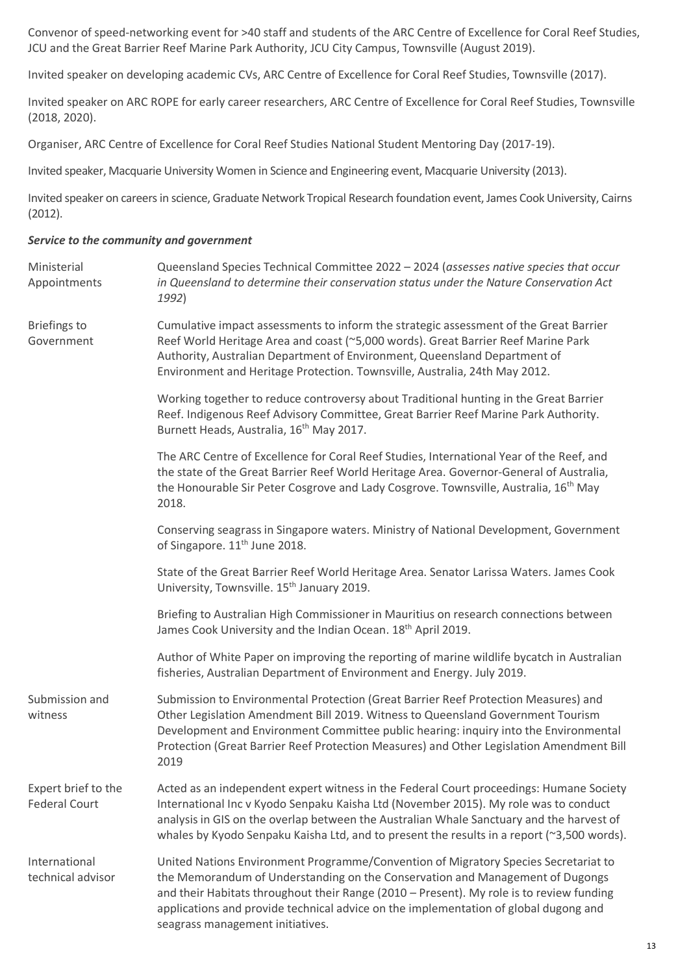Convenor of speed-networking event for >40 staff and students of the ARC Centre of Excellence for Coral Reef Studies, JCU and the Great Barrier Reef Marine Park Authority, JCU City Campus, Townsville (August 2019).

Invited speaker on developing academic CVs, ARC Centre of Excellence for Coral Reef Studies, Townsville (2017).

Invited speaker on ARC ROPE for early career researchers, ARC Centre of Excellence for Coral Reef Studies, Townsville (2018, 2020).

Organiser, ARC Centre of Excellence for Coral Reef Studies National Student Mentoring Day (2017-19).

Invited speaker, Macquarie University Women in Science and Engineering event, Macquarie University (2013).

Invited speaker on careers in science, Graduate Network Tropical Research foundation event, James Cook University, Cairns (2012).

#### *Service to the community and government*

| Ministerial<br>Appointments                 | Queensland Species Technical Committee 2022 - 2024 (assesses native species that occur<br>in Queensland to determine their conservation status under the Nature Conservation Act<br>1992)                                                                                                                                                                                                    |
|---------------------------------------------|----------------------------------------------------------------------------------------------------------------------------------------------------------------------------------------------------------------------------------------------------------------------------------------------------------------------------------------------------------------------------------------------|
| <b>Briefings to</b><br>Government           | Cumulative impact assessments to inform the strategic assessment of the Great Barrier<br>Reef World Heritage Area and coast (~5,000 words). Great Barrier Reef Marine Park<br>Authority, Australian Department of Environment, Queensland Department of<br>Environment and Heritage Protection. Townsville, Australia, 24th May 2012.                                                        |
|                                             | Working together to reduce controversy about Traditional hunting in the Great Barrier<br>Reef. Indigenous Reef Advisory Committee, Great Barrier Reef Marine Park Authority.<br>Burnett Heads, Australia, 16 <sup>th</sup> May 2017.                                                                                                                                                         |
|                                             | The ARC Centre of Excellence for Coral Reef Studies, International Year of the Reef, and<br>the state of the Great Barrier Reef World Heritage Area. Governor-General of Australia,<br>the Honourable Sir Peter Cosgrove and Lady Cosgrove. Townsville, Australia, 16 <sup>th</sup> May<br>2018.                                                                                             |
|                                             | Conserving seagrass in Singapore waters. Ministry of National Development, Government<br>of Singapore. 11 <sup>th</sup> June 2018.                                                                                                                                                                                                                                                           |
|                                             | State of the Great Barrier Reef World Heritage Area. Senator Larissa Waters. James Cook<br>University, Townsville. 15 <sup>th</sup> January 2019.                                                                                                                                                                                                                                            |
|                                             | Briefing to Australian High Commissioner in Mauritius on research connections between<br>James Cook University and the Indian Ocean. 18 <sup>th</sup> April 2019.                                                                                                                                                                                                                            |
|                                             | Author of White Paper on improving the reporting of marine wildlife bycatch in Australian<br>fisheries, Australian Department of Environment and Energy. July 2019.                                                                                                                                                                                                                          |
| Submission and<br>witness                   | Submission to Environmental Protection (Great Barrier Reef Protection Measures) and<br>Other Legislation Amendment Bill 2019. Witness to Queensland Government Tourism<br>Development and Environment Committee public hearing: inquiry into the Environmental<br>Protection (Great Barrier Reef Protection Measures) and Other Legislation Amendment Bill<br>2019                           |
| Expert brief to the<br><b>Federal Court</b> | Acted as an independent expert witness in the Federal Court proceedings: Humane Society<br>International Inc v Kyodo Senpaku Kaisha Ltd (November 2015). My role was to conduct<br>analysis in GIS on the overlap between the Australian Whale Sanctuary and the harvest of<br>whales by Kyodo Senpaku Kaisha Ltd, and to present the results in a report (~3,500 words).                    |
| International<br>technical advisor          | United Nations Environment Programme/Convention of Migratory Species Secretariat to<br>the Memorandum of Understanding on the Conservation and Management of Dugongs<br>and their Habitats throughout their Range (2010 - Present). My role is to review funding<br>applications and provide technical advice on the implementation of global dugong and<br>seagrass management initiatives. |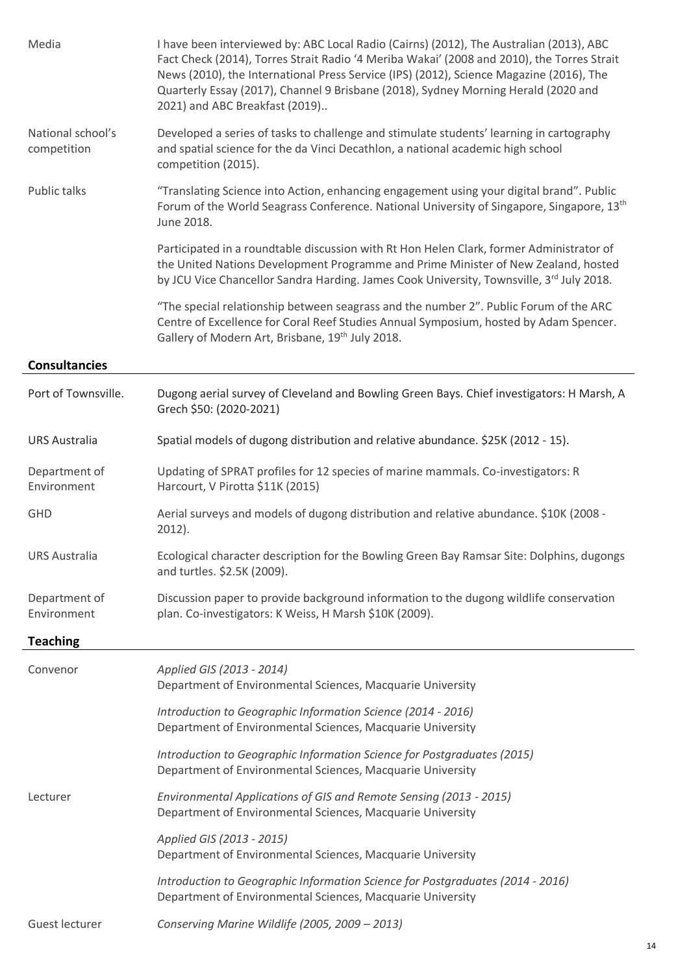| Media                            | I have been interviewed by: ABC Local Radio (Cairns) (2012), The Australian (2013), ABC<br>Fact Check (2014), Torres Strait Radio '4 Meriba Wakai' (2008 and 2010), the Torres Strait<br>News (2010), the International Press Service (IPS) (2012), Science Magazine (2016), The<br>Quarterly Essay (2017), Channel 9 Brisbane (2018), Sydney Morning Herald (2020 and<br>2021) and ABC Breakfast (2019) |
|----------------------------------|----------------------------------------------------------------------------------------------------------------------------------------------------------------------------------------------------------------------------------------------------------------------------------------------------------------------------------------------------------------------------------------------------------|
| National school's<br>competition | Developed a series of tasks to challenge and stimulate students' learning in cartography<br>and spatial science for the da Vinci Decathlon, a national academic high school<br>competition (2015).                                                                                                                                                                                                       |
| Public talks                     | "Translating Science into Action, enhancing engagement using your digital brand". Public<br>Forum of the World Seagrass Conference. National University of Singapore, Singapore, 13 <sup>th</sup><br>June 2018.                                                                                                                                                                                          |
|                                  | Participated in a roundtable discussion with Rt Hon Helen Clark, former Administrator of<br>the United Nations Development Programme and Prime Minister of New Zealand, hosted<br>by JCU Vice Chancellor Sandra Harding. James Cook University, Townsville, 3rd July 2018.                                                                                                                               |
|                                  | "The special relationship between seagrass and the number 2". Public Forum of the ARC<br>Centre of Excellence for Coral Reef Studies Annual Symposium, hosted by Adam Spencer.<br>Gallery of Modern Art, Brisbane, 19th July 2018.                                                                                                                                                                       |
| <b>Consultancies</b>             |                                                                                                                                                                                                                                                                                                                                                                                                          |
| Port of Townsville.              | Dugong aerial survey of Cleveland and Bowling Green Bays. Chief investigators: H Marsh, A<br>Grech \$50: (2020-2021)                                                                                                                                                                                                                                                                                     |
| <b>URS Australia</b>             | Spatial models of dugong distribution and relative abundance. \$25K (2012 - 15).                                                                                                                                                                                                                                                                                                                         |
| Department of<br>Environment     | Updating of SPRAT profiles for 12 species of marine mammals. Co-investigators: R<br>Harcourt, V Pirotta \$11K (2015)                                                                                                                                                                                                                                                                                     |
| <b>GHD</b>                       | Aerial surveys and models of dugong distribution and relative abundance. \$10K (2008 -<br>$2012$ ).                                                                                                                                                                                                                                                                                                      |
| <b>URS Australia</b>             | Ecological character description for the Bowling Green Bay Ramsar Site: Dolphins, dugongs<br>and turtles. \$2.5K (2009).                                                                                                                                                                                                                                                                                 |
| Department of<br>Environment     | Discussion paper to provide background information to the dugong wildlife conservation<br>plan. Co-investigators: K Weiss, H Marsh \$10K (2009).                                                                                                                                                                                                                                                         |
| <b>Teaching</b>                  |                                                                                                                                                                                                                                                                                                                                                                                                          |
| Convenor                         | Applied GIS (2013 - 2014)<br>Department of Environmental Sciences, Macquarie University                                                                                                                                                                                                                                                                                                                  |
|                                  | Introduction to Geographic Information Science (2014 - 2016)<br>Department of Environmental Sciences, Macquarie University                                                                                                                                                                                                                                                                               |
|                                  | Introduction to Geographic Information Science for Postgraduates (2015)<br>Department of Environmental Sciences, Macquarie University                                                                                                                                                                                                                                                                    |
| Lecturer                         | Environmental Applications of GIS and Remote Sensing (2013 - 2015)<br>Department of Environmental Sciences, Macquarie University                                                                                                                                                                                                                                                                         |
|                                  | Applied GIS (2013 - 2015)<br>Department of Environmental Sciences, Macquarie University                                                                                                                                                                                                                                                                                                                  |
|                                  | Introduction to Geographic Information Science for Postgraduates (2014 - 2016)<br>Department of Environmental Sciences, Macquarie University                                                                                                                                                                                                                                                             |
| Guest lecturer                   | Conserving Marine Wildlife (2005, 2009 - 2013)                                                                                                                                                                                                                                                                                                                                                           |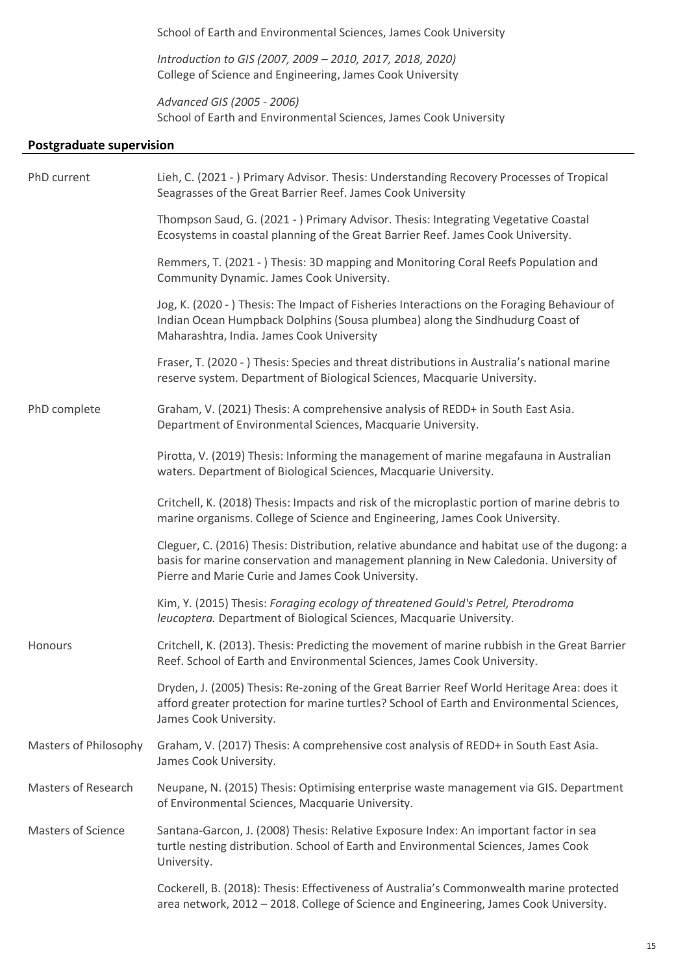School of Earth and Environmental Sciences, James Cook University

*Introduction to GIS (2007, 2009 – 2010, 2017, 2018, 2020)* College of Science and Engineering, James Cook University

*Advanced GIS (2005 - 2006)* School of Earth and Environmental Sciences, James Cook University

# **Postgraduate supervision**

| PhD current                | Lieh, C. (2021 - ) Primary Advisor. Thesis: Understanding Recovery Processes of Tropical<br>Seagrasses of the Great Barrier Reef. James Cook University                                                                                    |
|----------------------------|--------------------------------------------------------------------------------------------------------------------------------------------------------------------------------------------------------------------------------------------|
|                            | Thompson Saud, G. (2021 - ) Primary Advisor. Thesis: Integrating Vegetative Coastal<br>Ecosystems in coastal planning of the Great Barrier Reef. James Cook University.                                                                    |
|                            | Remmers, T. (2021 - ) Thesis: 3D mapping and Monitoring Coral Reefs Population and<br>Community Dynamic. James Cook University.                                                                                                            |
|                            | Jog, K. (2020 -) Thesis: The Impact of Fisheries Interactions on the Foraging Behaviour of<br>Indian Ocean Humpback Dolphins (Sousa plumbea) along the Sindhudurg Coast of<br>Maharashtra, India. James Cook University                    |
|                            | Fraser, T. (2020 - ) Thesis: Species and threat distributions in Australia's national marine<br>reserve system. Department of Biological Sciences, Macquarie University.                                                                   |
| PhD complete               | Graham, V. (2021) Thesis: A comprehensive analysis of REDD+ in South East Asia.<br>Department of Environmental Sciences, Macquarie University.                                                                                             |
|                            | Pirotta, V. (2019) Thesis: Informing the management of marine megafauna in Australian<br>waters. Department of Biological Sciences, Macquarie University.                                                                                  |
|                            | Critchell, K. (2018) Thesis: Impacts and risk of the microplastic portion of marine debris to<br>marine organisms. College of Science and Engineering, James Cook University.                                                              |
|                            | Cleguer, C. (2016) Thesis: Distribution, relative abundance and habitat use of the dugong: a<br>basis for marine conservation and management planning in New Caledonia. University of<br>Pierre and Marie Curie and James Cook University. |
|                            | Kim, Y. (2015) Thesis: Foraging ecology of threatened Gould's Petrel, Pterodroma<br>leucoptera. Department of Biological Sciences, Macquarie University.                                                                                   |
| Honours                    | Critchell, K. (2013). Thesis: Predicting the movement of marine rubbish in the Great Barrier<br>Reef. School of Earth and Environmental Sciences, James Cook University.                                                                   |
|                            | Dryden, J. (2005) Thesis: Re-zoning of the Great Barrier Reef World Heritage Area: does it<br>afford greater protection for marine turtles? School of Earth and Environmental Sciences,<br>James Cook University.                          |
| Masters of Philosophy      | Graham, V. (2017) Thesis: A comprehensive cost analysis of REDD+ in South East Asia.<br>James Cook University.                                                                                                                             |
| <b>Masters of Research</b> | Neupane, N. (2015) Thesis: Optimising enterprise waste management via GIS. Department<br>of Environmental Sciences, Macquarie University.                                                                                                  |
| <b>Masters of Science</b>  | Santana-Garcon, J. (2008) Thesis: Relative Exposure Index: An important factor in sea<br>turtle nesting distribution. School of Earth and Environmental Sciences, James Cook<br>University.                                                |
|                            | Cockerell, B. (2018): Thesis: Effectiveness of Australia's Commonwealth marine protected<br>area network, 2012 - 2018. College of Science and Engineering, James Cook University.                                                          |